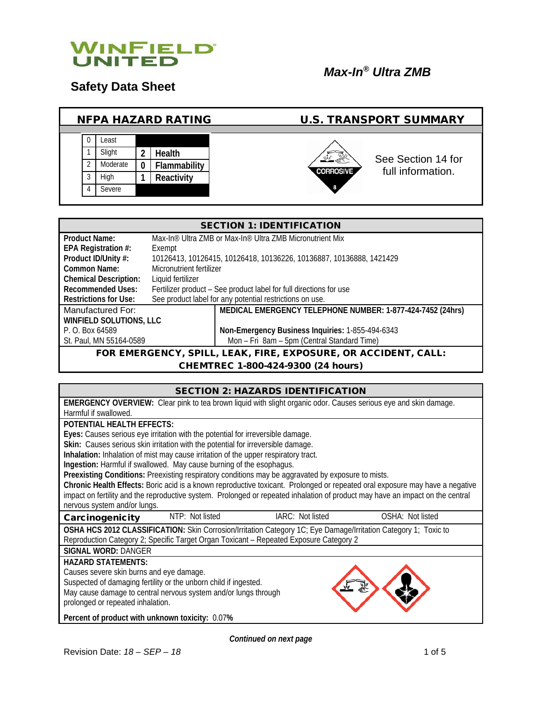

**Safety Data Sheet**

#### NFPA HAZARD RATING U.S. TRANSPORT SUMMARY 0 Least 1 Slight **2 Health** See Section 14 for 2 Moderate **0 Flammability** full information.**CORROSIVE** 3 High **1 Reactivity** 4 Severe 8

| <b>SECTION 1: IDENTIFICATION</b>                                       |                                                                                  |                                                  |  |
|------------------------------------------------------------------------|----------------------------------------------------------------------------------|--------------------------------------------------|--|
| Product Name:                                                          | Max-In <sup>®</sup> Ultra ZMB or Max-In <sup>®</sup> Ultra ZMB Micronutrient Mix |                                                  |  |
| EPA Registration #:                                                    | Exempt                                                                           |                                                  |  |
| Product ID/Unity #:                                                    | 10126413, 10126415, 10126418, 10136226, 10136887, 10136888, 1421429              |                                                  |  |
| Common Name:                                                           | Micronutrient fertilizer                                                         |                                                  |  |
| <b>Chemical Description:</b>                                           | Liquid fertilizer                                                                |                                                  |  |
| <b>Recommended Uses:</b>                                               | Fertilizer product - See product label for full directions for use               |                                                  |  |
| <b>Restrictions for Use:</b>                                           | See product label for any potential restrictions on use.                         |                                                  |  |
| Manufactured For:                                                      | MEDICAL EMERGENCY TELEPHONE NUMBER: 1-877-424-7452 (24hrs)                       |                                                  |  |
| WINFIELD SOLUTIONS, LLC                                                |                                                                                  |                                                  |  |
| P. O. Box 64589                                                        |                                                                                  | Non-Emergency Business Inquiries: 1-855-494-6343 |  |
| Mon - Fri 8am - 5pm (Central Standard Time)<br>St. Paul, MN 55164-0589 |                                                                                  |                                                  |  |
| FOR EMERGENCY, SPILL, LEAK, FIRE, EXPOSURE, OR ACCIDENT, CALL:         |                                                                                  |                                                  |  |

CHEMTREC 1-800-424-9300 (24 hours)

|                                                                                                                                                             | <b>SECTION 2: HAZARDS IDENTIFICATION</b>                                                                                                                                                                                           |                  |  |  |
|-------------------------------------------------------------------------------------------------------------------------------------------------------------|------------------------------------------------------------------------------------------------------------------------------------------------------------------------------------------------------------------------------------|------------------|--|--|
| <b>EMERGENCY OVERVIEW:</b> Clear pink to tea brown liquid with slight organic odor. Causes serious eye and skin damage.                                     |                                                                                                                                                                                                                                    |                  |  |  |
| Harmful if swallowed.                                                                                                                                       |                                                                                                                                                                                                                                    |                  |  |  |
| <b>POTENTIAL HEALTH EFFECTS:</b>                                                                                                                            |                                                                                                                                                                                                                                    |                  |  |  |
| Eyes: Causes serious eye irritation with the potential for irreversible damage.                                                                             |                                                                                                                                                                                                                                    |                  |  |  |
| Skin: Causes serious skin irritation with the potential for irreversible damage.                                                                            |                                                                                                                                                                                                                                    |                  |  |  |
| Inhalation: Inhalation of mist may cause irritation of the upper respiratory tract.<br>Ingestion: Harmful if swallowed. May cause burning of the esophagus. |                                                                                                                                                                                                                                    |                  |  |  |
|                                                                                                                                                             |                                                                                                                                                                                                                                    |                  |  |  |
|                                                                                                                                                             | Preexisting Conditions: Preexisting respiratory conditions may be aggravated by exposure to mists.<br>Chronic Health Effects: Boric acid is a known reproductive toxicant. Prolonged or repeated oral exposure may have a negative |                  |  |  |
| impact on fertility and the reproductive system. Prolonged or repeated inhalation of product may have an impact on the central                              |                                                                                                                                                                                                                                    |                  |  |  |
| nervous system and/or lungs.                                                                                                                                |                                                                                                                                                                                                                                    |                  |  |  |
| NTP: Not listed<br>Carcinogenicity                                                                                                                          | IARC: Not listed                                                                                                                                                                                                                   | OSHA: Not listed |  |  |
| OSHA HCS 2012 CLASSIFICATION: Skin Corrosion/Irritation Category 1C; Eye Damage/Irritation Category 1; Toxic to                                             |                                                                                                                                                                                                                                    |                  |  |  |
| Reproduction Category 2; Specific Target Organ Toxicant - Repeated Exposure Category 2                                                                      |                                                                                                                                                                                                                                    |                  |  |  |
| <b>SIGNAL WORD: DANGER</b>                                                                                                                                  |                                                                                                                                                                                                                                    |                  |  |  |
| <b>HAZARD STATEMENTS:</b>                                                                                                                                   |                                                                                                                                                                                                                                    |                  |  |  |
| Causes severe skin burns and eye damage.                                                                                                                    |                                                                                                                                                                                                                                    |                  |  |  |
| Suspected of damaging fertility or the unborn child if ingested.                                                                                            |                                                                                                                                                                                                                                    |                  |  |  |
| May cause damage to central nervous system and/or lungs through                                                                                             |                                                                                                                                                                                                                                    |                  |  |  |
| prolonged or repeated inhalation.                                                                                                                           |                                                                                                                                                                                                                                    |                  |  |  |
| Percent of product with unknown toxicity: 0.07%                                                                                                             |                                                                                                                                                                                                                                    |                  |  |  |
|                                                                                                                                                             |                                                                                                                                                                                                                                    |                  |  |  |

*Continued on next page*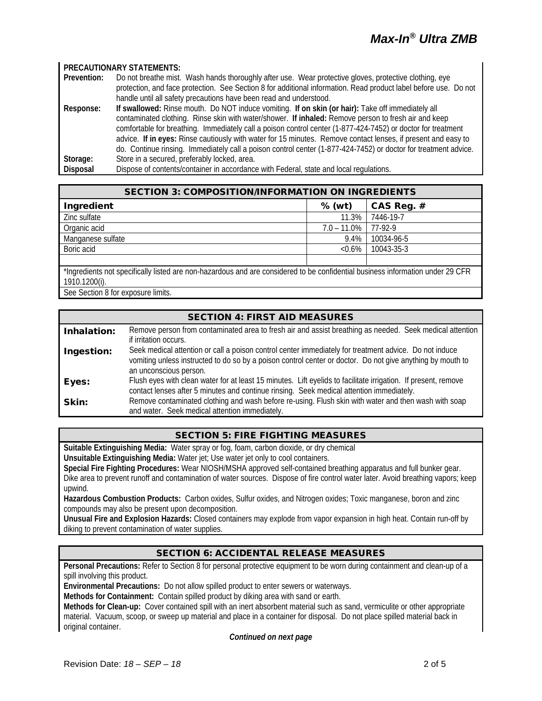#### **PRECAUTIONARY STATEMENTS:**

| Prevention: | Do not breathe mist. Wash hands thoroughly after use. Wear protective gloves, protective clothing, eye           |  |  |
|-------------|------------------------------------------------------------------------------------------------------------------|--|--|
|             | protection, and face protection. See Section 8 for additional information. Read product label before use. Do not |  |  |
|             | handle until all safety precautions have been read and understood.                                               |  |  |
| Response:   | If swallowed: Rinse mouth. Do NOT induce vomiting. If on skin (or hair): Take off immediately all                |  |  |
|             | contaminated clothing. Rinse skin with water/shower. If inhaled: Remove person to fresh air and keep             |  |  |
|             | comfortable for breathing. Immediately call a poison control center (1-877-424-7452) or doctor for treatment     |  |  |
|             | advice. If in eyes: Rinse cautiously with water for 15 minutes. Remove contact lenses, if present and easy to    |  |  |
|             | do. Continue rinsing. Immediately call a poison control center (1-877-424-7452) or doctor for treatment advice.  |  |  |
| Storage:    | Store in a secured, preferably locked, area.                                                                     |  |  |
| Disposal    | Dispose of contents/container in accordance with Federal, state and local regulations.                           |  |  |

| <b>SECTION 3: COMPOSITION/INFORMATION ON INGREDIENTS</b>                                                                                        |                |            |  |
|-------------------------------------------------------------------------------------------------------------------------------------------------|----------------|------------|--|
| Ingredient                                                                                                                                      | $%$ (wt)       | CAS Reg. # |  |
| Zinc sulfate                                                                                                                                    | 11.3%          | 7446-19-7  |  |
| Organic acid                                                                                                                                    | $7.0 - 11.0\%$ | 77-92-9    |  |
| Manganese sulfate                                                                                                                               | 9.4%           | 10034-96-5 |  |
| Boric acid                                                                                                                                      | $< 0.6\%$      | 10043-35-3 |  |
|                                                                                                                                                 |                |            |  |
| *Ingredients not specifically listed are non-hazardous and are considered to be confidential business information under 29 CFR<br>1910.1200(i). |                |            |  |

See Section 8 for exposure limits.

# SECTION 4: FIRST AID MEASURES

| Inhalation: | Remove person from contaminated area to fresh air and assist breathing as needed. Seek medical attention       |  |  |
|-------------|----------------------------------------------------------------------------------------------------------------|--|--|
|             | if irritation occurs.                                                                                          |  |  |
| Ingestion:  | Seek medical attention or call a poison control center immediately for treatment advice. Do not induce         |  |  |
|             | vomiting unless instructed to do so by a poison control center or doctor. Do not give anything by mouth to     |  |  |
|             | an unconscious person.                                                                                         |  |  |
| Eyes:       | Flush eyes with clean water for at least 15 minutes. Lift eyelids to facilitate irrigation. If present, remove |  |  |
|             | contact lenses after 5 minutes and continue rinsing. Seek medical attention immediately.                       |  |  |
| Skin:       | Remove contaminated clothing and wash before re-using. Flush skin with water and then wash with soap           |  |  |
|             | and water. Seek medical attention immediately.                                                                 |  |  |

#### SECTION 5: FIRE FIGHTING MEASURES

**Suitable Extinguishing Media:** Water spray or fog, foam, carbon dioxide, or dry chemical

**Unsuitable Extinguishing Media:** Water jet; Use water jet only to cool containers.

**Special Fire Fighting Procedures:** Wear NIOSH/MSHA approved self-contained breathing apparatus and full bunker gear. Dike area to prevent runoff and contamination of water sources. Dispose of fire control water later. Avoid breathing vapors; keep upwind.

**Hazardous Combustion Products:** Carbon oxides, Sulfur oxides, and Nitrogen oxides; Toxic manganese, boron and zinc compounds may also be present upon decomposition.

**Unusual Fire and Explosion Hazards:** Closed containers may explode from vapor expansion in high heat. Contain run-off by diking to prevent contamination of water supplies.

# SECTION 6: ACCIDENTAL RELEASE MEASURES

**Personal Precautions:** Refer to Section 8 for personal protective equipment to be worn during containment and clean-up of a spill involving this product.

**Environmental Precautions:** Do not allow spilled product to enter sewers or waterways.

**Methods for Containment:** Contain spilled product by diking area with sand or earth.

**Methods for Clean-up:** Cover contained spill with an inert absorbent material such as sand, vermiculite or other appropriate material. Vacuum, scoop, or sweep up material and place in a container for disposal. Do not place spilled material back in original container.

*Continued on next page*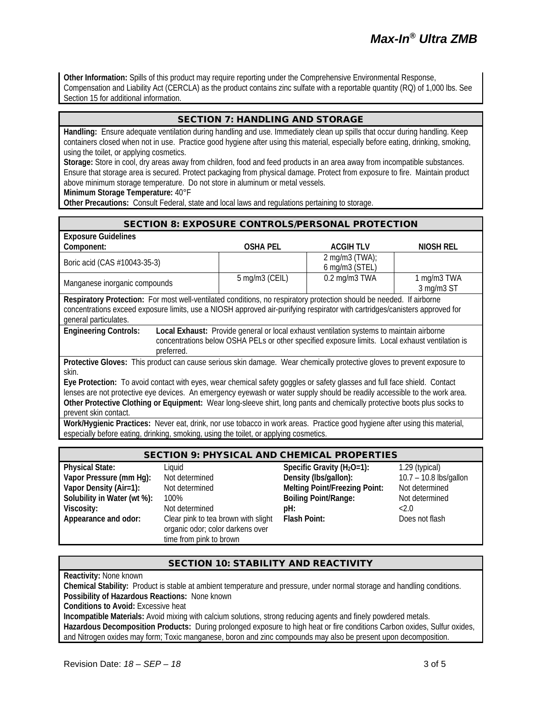**Other Information:** Spills of this product may require reporting under the Comprehensive Environmental Response, Compensation and Liability Act (CERCLA) as the product contains zinc sulfate with a reportable quantity (RQ) of 1,000 lbs. See Section 15 for additional information.

# SECTION 7: HANDLING AND STORAGE

**Handling:** Ensure adequate ventilation during handling and use. Immediately clean up spills that occur during handling. Keep containers closed when not in use. Practice good hygiene after using this material, especially before eating, drinking, smoking, using the toilet, or applying cosmetics.

**Storage:** Store in cool, dry areas away from children, food and feed products in an area away from incompatible substances. Ensure that storage area is secured. Protect packaging from physical damage. Protect from exposure to fire. Maintain product above minimum storage temperature. Do not store in aluminum or metal vessels.

**Minimum Storage Temperature:** 40°F

**Other Precautions:** Consult Federal, state and local laws and regulations pertaining to storage.

#### SECTION 8: EXPOSURE CONTROLS/PERSONAL PROTECTION

| <b>Exposure Guidelines</b>                                                                                                                                                                                                                                                                                                                                                                                           |                 |                                                   |                           |
|----------------------------------------------------------------------------------------------------------------------------------------------------------------------------------------------------------------------------------------------------------------------------------------------------------------------------------------------------------------------------------------------------------------------|-----------------|---------------------------------------------------|---------------------------|
| Component:                                                                                                                                                                                                                                                                                                                                                                                                           | <b>OSHA PEL</b> | <b>ACGIHTLV</b>                                   | NIOSH REL                 |
| Boric acid (CAS #10043-35-3)                                                                                                                                                                                                                                                                                                                                                                                         |                 | $2 \text{ mg/m}3 \text{ (TWA)}$<br>6 mg/m3 (STEL) |                           |
| Manganese inorganic compounds                                                                                                                                                                                                                                                                                                                                                                                        | 5 mg/m3 (CEIL)  | 0.2 mg/m3 TWA                                     | 1 mg/m3 TWA<br>3 mg/m3 ST |
| Respiratory Protection: For most well-ventilated conditions, no respiratory protection should be needed. If airborne<br>concentrations exceed exposure limits, use a NIOSH approved air-purifying respirator with cartridges/canisters approved for<br>general particulates.                                                                                                                                         |                 |                                                   |                           |
| <b>Engineering Controls:</b><br>Local Exhaust: Provide general or local exhaust ventilation systems to maintain airborne<br>concentrations below OSHA PELs or other specified exposure limits. Local exhaust ventilation is<br>preferred.                                                                                                                                                                            |                 |                                                   |                           |
| Protective Gloves: This product can cause serious skin damage. Wear chemically protective gloves to prevent exposure to                                                                                                                                                                                                                                                                                              |                 |                                                   |                           |
| skin.<br>Eye Protection: To avoid contact with eyes, wear chemical safety goggles or safety glasses and full face shield. Contact<br>lenses are not protective eye devices. An emergency eyewash or water supply should be readily accessible to the work area.<br>Other Protective Clothing or Equipment: Wear long-sleeve shirt, long pants and chemically protective boots plus socks to<br>prevent skin contact. |                 |                                                   |                           |

**Work/Hygienic Practices:** Never eat, drink, nor use tobacco in work areas. Practice good hygiene after using this material, especially before eating, drinking, smoking, using the toilet, or applying cosmetics.

| <b>SECTION 9: PHYSICAL AND CHEMICAL PROPERTIES</b> |                                                                                                    |                                      |                        |
|----------------------------------------------------|----------------------------------------------------------------------------------------------------|--------------------------------------|------------------------|
| <b>Physical State:</b>                             | Liquid                                                                                             | Specific Gravity ( $H_2O=1$ ):       | 1.29 (typical)         |
| Vapor Pressure (mm Hg):                            | Not determined                                                                                     | Density (Ibs/gallon):                | 10.7 - 10.8 lbs/gallon |
| Vapor Density (Air=1):                             | Not determined                                                                                     | <b>Melting Point/Freezing Point:</b> | Not determined         |
| Solubility in Water (wt %):                        | 100%                                                                                               | <b>Boiling Point/Range:</b>          | Not determined         |
| Viscosity:                                         | Not determined                                                                                     | pH:                                  | 2.0                    |
| Appearance and odor:                               | Clear pink to tea brown with slight<br>organic odor; color darkens over<br>time from pink to brown | Flash Point:                         | Does not flash         |

#### SECTION 10: STABILITY AND REACTIVITY

**Reactivity:** None known

**Chemical Stability:** Product is stable at ambient temperature and pressure, under normal storage and handling conditions. **Possibility of Hazardous Reactions:** None known **Conditions to Avoid:** Excessive heat

**Incompatible Materials:** Avoid mixing with calcium solutions, strong reducing agents and finely powdered metals. **Hazardous Decomposition Products:** During prolonged exposure to high heat or fire conditions Carbon oxides, Sulfur oxides, and Nitrogen oxides may form; Toxic manganese, boron and zinc compounds may also be present upon decomposition.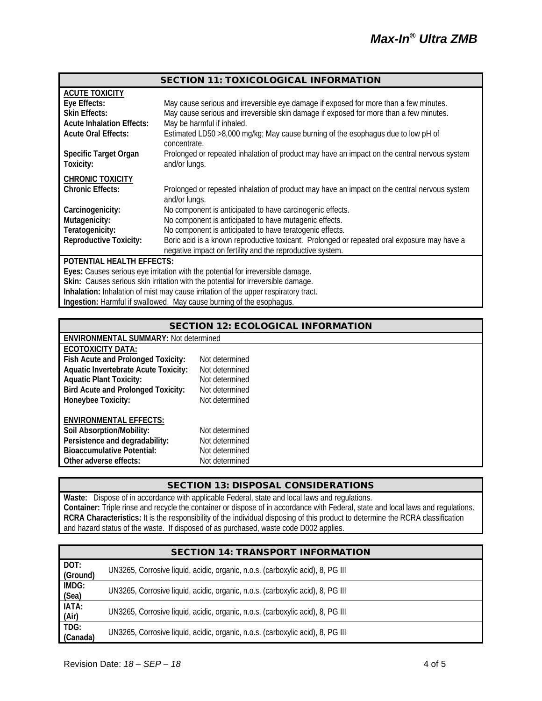|                                                                                  | <b>SECTION 11: TOXICOLOGICAL INFORMATION</b>                                                                  |  |
|----------------------------------------------------------------------------------|---------------------------------------------------------------------------------------------------------------|--|
| <b>ACUTE TOXICITY</b>                                                            |                                                                                                               |  |
| Eye Effects:                                                                     | May cause serious and irreversible eye damage if exposed for more than a few minutes.                         |  |
| <b>Skin Effects:</b>                                                             | May cause serious and irreversible skin damage if exposed for more than a few minutes.                        |  |
| <b>Acute Inhalation Effects:</b>                                                 | May be harmful if inhaled.                                                                                    |  |
| <b>Acute Oral Effects:</b>                                                       | Estimated LD50 >8,000 mg/kg; May cause burning of the esophagus due to low pH of<br>concentrate.              |  |
| <b>Specific Target Organ</b><br>Toxicity:                                        | Prolonged or repeated inhalation of product may have an impact on the central nervous system<br>and/or lungs. |  |
| <b>CHRONIC TOXICITY</b>                                                          |                                                                                                               |  |
| <b>Chronic Effects:</b>                                                          | Prolonged or repeated inhalation of product may have an impact on the central nervous system<br>and/or lungs. |  |
| Carcinogenicity:                                                                 | No component is anticipated to have carcinogenic effects.                                                     |  |
| Mutagenicity:                                                                    | No component is anticipated to have mutagenic effects.                                                        |  |
| Teratogenicity:                                                                  | No component is anticipated to have teratogenic effects.                                                      |  |
| <b>Reproductive Toxicity:</b>                                                    | Boric acid is a known reproductive toxicant. Prolonged or repeated oral exposure may have a                   |  |
|                                                                                  | negative impact on fertility and the reproductive system.                                                     |  |
| <b>POTENTIAL HEALTH EFFECTS:</b>                                                 |                                                                                                               |  |
| Eyes: Causes serious eye irritation with the potential for irreversible damage.  |                                                                                                               |  |
| Skin: Causes serious skin irritation with the potential for irreversible damage. |                                                                                                               |  |
|                                                                                  | Inhalation: Inhalation of mist may cause irritation of the upper respiratory tract.                           |  |

**Ingestion:** Harmful if swallowed. May cause burning of the esophagus.

| <b>SECTION 12: ECOLOGICAL INFORMATION</b>    |                |  |  |
|----------------------------------------------|----------------|--|--|
| <b>ENVIRONMENTAL SUMMARY: Not determined</b> |                |  |  |
| ECOTOXICITY DATA:                            |                |  |  |
| Fish Acute and Prolonged Toxicity:           | Not determined |  |  |
| <b>Aquatic Invertebrate Acute Toxicity:</b>  | Not determined |  |  |
| <b>Aquatic Plant Toxicity:</b>               | Not determined |  |  |
| <b>Bird Acute and Prolonged Toxicity:</b>    | Not determined |  |  |
| Honeybee Toxicity:                           | Not determined |  |  |
| <b>ENVIRONMENTAL EFFECTS:</b>                |                |  |  |
| Soil Absorption/Mobility:                    | Not determined |  |  |
| Persistence and degradability:               | Not determined |  |  |
| <b>Bioaccumulative Potential:</b>            | Not determined |  |  |
| Other adverse effects:                       | Not determined |  |  |

# SECTION 13: DISPOSAL CONSIDERATIONS

**Waste:** Dispose of in accordance with applicable Federal, state and local laws and regulations. **Container:** Triple rinse and recycle the container or dispose of in accordance with Federal, state and local laws and regulations. **RCRA Characteristics:** It is the responsibility of the individual disposing of this product to determine the RCRA classification and hazard status of the waste. If disposed of as purchased, waste code D002 applies.

| <b>SECTION 14: TRANSPORT INFORMATION</b> |                                                                                |  |  |
|------------------------------------------|--------------------------------------------------------------------------------|--|--|
| DOT:<br>(Ground)                         | UN3265, Corrosive liquid, acidic, organic, n.o.s. (carboxylic acid), 8, PG III |  |  |
| IMDG:<br>(Sea)                           | UN3265, Corrosive liquid, acidic, organic, n.o.s. (carboxylic acid), 8, PG III |  |  |
| IATA:<br>(Air)                           | UN3265, Corrosive liquid, acidic, organic, n.o.s. (carboxylic acid), 8, PG III |  |  |
| TDG:<br>(Canada)                         | UN3265, Corrosive liquid, acidic, organic, n.o.s. (carboxylic acid), 8, PG III |  |  |